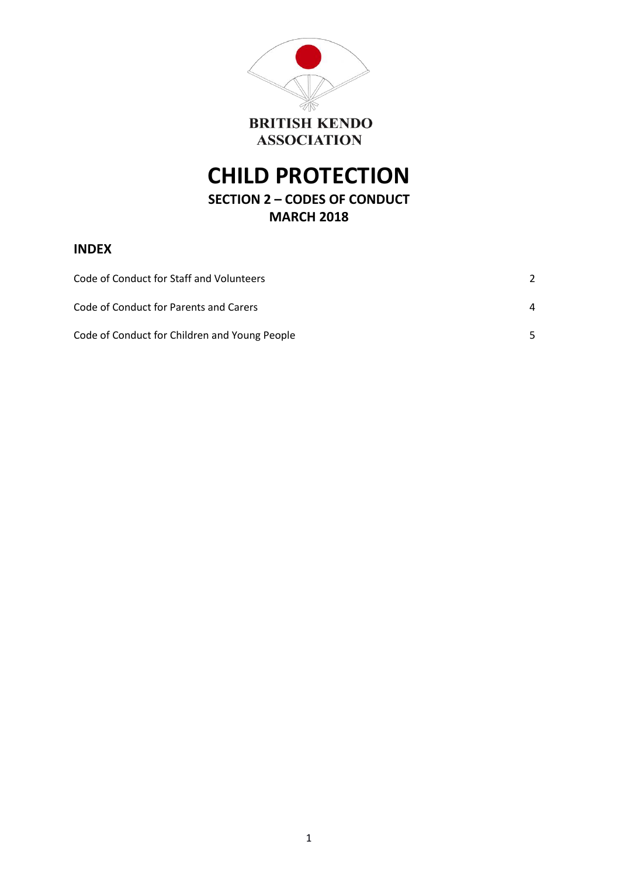

# **CHILD PROTECTION**

### **SECTION 2 – CODES OF CONDUCT MARCH 2018**

### **INDEX**

| Code of Conduct for Staff and Volunteers      |   |
|-----------------------------------------------|---|
| Code of Conduct for Parents and Carers        | 4 |
| Code of Conduct for Children and Young People |   |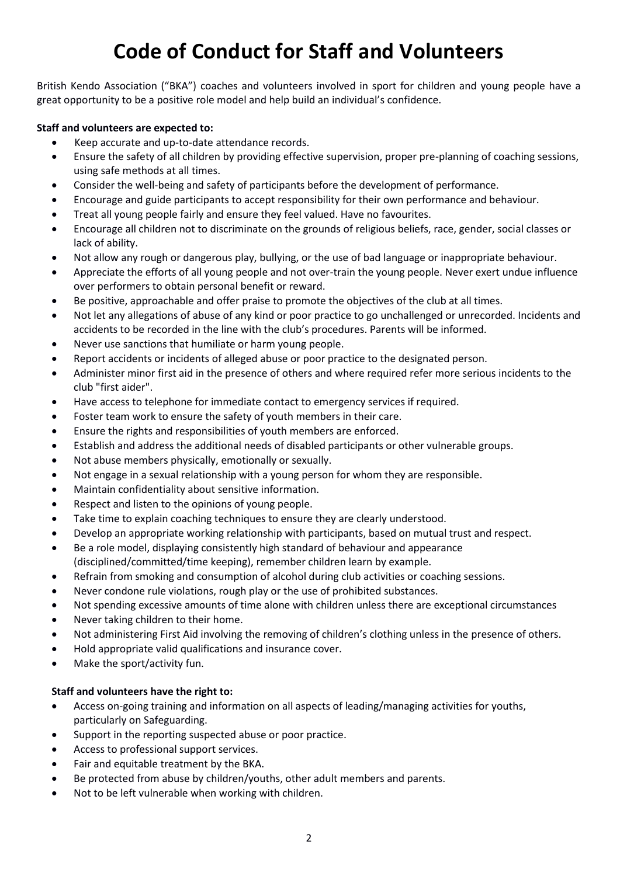### **Code of Conduct for Staff and Volunteers**

British Kendo Association ("BKA") coaches and volunteers involved in sport for children and young people have a great opportunity to be a positive role model and help build an individual's confidence.

### **Staff and volunteers are expected to:**

- Keep accurate and up-to-date attendance records.
- Ensure the safety of all children by providing effective supervision, proper pre-planning of coaching sessions, using safe methods at all times.
- Consider the well-being and safety of participants before the development of performance.
- Encourage and guide participants to accept responsibility for their own performance and behaviour.
- Treat all young people fairly and ensure they feel valued. Have no favourites.
- Encourage all children not to discriminate on the grounds of religious beliefs, race, gender, social classes or lack of ability.
- Not allow any rough or dangerous play, bullying, or the use of bad language or inappropriate behaviour.
- Appreciate the efforts of all young people and not over-train the young people. Never exert undue influence over performers to obtain personal benefit or reward.
- Be positive, approachable and offer praise to promote the objectives of the club at all times.
- Not let any allegations of abuse of any kind or poor practice to go unchallenged or unrecorded. Incidents and accidents to be recorded in the line with the club's procedures. Parents will be informed.
- Never use sanctions that humiliate or harm young people.
- Report accidents or incidents of alleged abuse or poor practice to the designated person.
- Administer minor first aid in the presence of others and where required refer more serious incidents to the club "first aider".
- Have access to telephone for immediate contact to emergency services if required.
- Foster team work to ensure the safety of youth members in their care.
- Ensure the rights and responsibilities of youth members are enforced.
- Establish and address the additional needs of disabled participants or other vulnerable groups.
- Not abuse members physically, emotionally or sexually.
- Not engage in a sexual relationship with a young person for whom they are responsible.
- Maintain confidentiality about sensitive information.
- Respect and listen to the opinions of young people.
- Take time to explain coaching techniques to ensure they are clearly understood.
- Develop an appropriate working relationship with participants, based on mutual trust and respect.
- Be a role model, displaying consistently high standard of behaviour and appearance (disciplined/committed/time keeping), remember children learn by example.
- Refrain from smoking and consumption of alcohol during club activities or coaching sessions.
- Never condone rule violations, rough play or the use of prohibited substances.
- Not spending excessive amounts of time alone with children unless there are exceptional circumstances
- Never taking children to their home.
- Not administering First Aid involving the removing of children's clothing unless in the presence of others.
- Hold appropriate valid qualifications and insurance cover.
- Make the sport/activity fun.

### **Staff and volunteers have the right to:**

- Access on-going training and information on all aspects of leading/managing activities for youths, particularly on Safeguarding.
- Support in the reporting suspected abuse or poor practice.
- Access to professional support services.
- Fair and equitable treatment by the BKA.
- Be protected from abuse by children/youths, other adult members and parents.
- Not to be left vulnerable when working with children.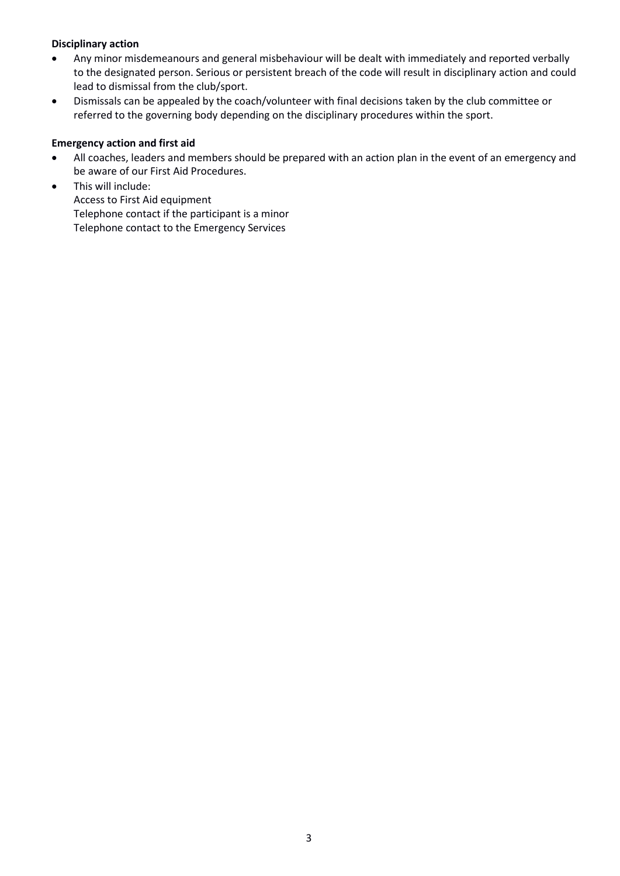### **Disciplinary action**

- Any minor misdemeanours and general misbehaviour will be dealt with immediately and reported verbally to the designated person. Serious or persistent breach of the code will result in disciplinary action and could lead to dismissal from the club/sport.
- Dismissals can be appealed by the coach/volunteer with final decisions taken by the club committee or referred to the governing body depending on the disciplinary procedures within the sport.

### **Emergency action and first aid**

- All coaches, leaders and members should be prepared with an action plan in the event of an emergency and be aware of our First Aid Procedures.
- This will include:

Access to First Aid equipment Telephone contact if the participant is a minor Telephone contact to the Emergency Services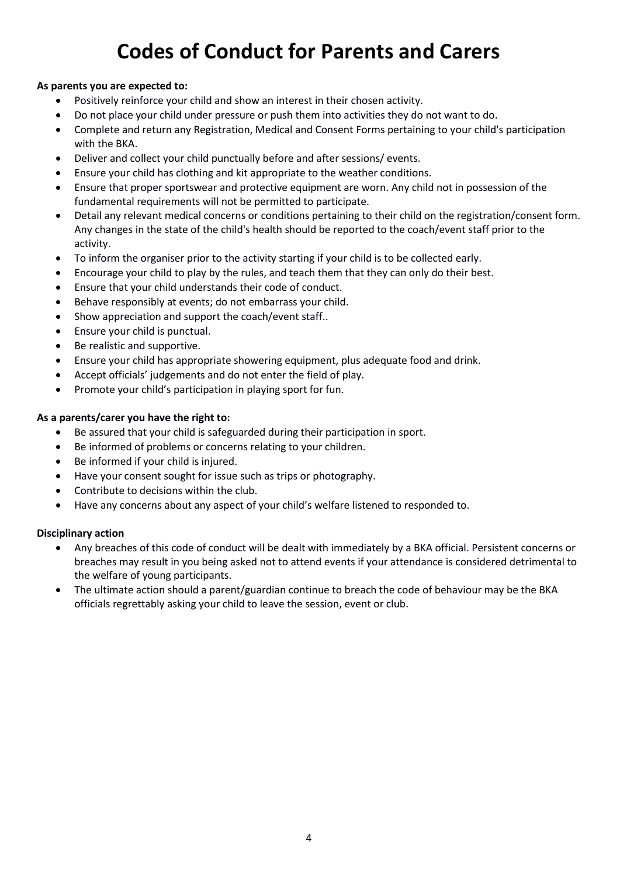# **Codes of Conduct for Parents and Carers**

### **As parents you are expected to:**

- Positively reinforce your child and show an interest in their chosen activity.
- Do not place your child under pressure or push them into activities they do not want to do.
- Complete and return any Registration, Medical and Consent Forms pertaining to your child's participation with the BKA.
- Deliver and collect your child punctually before and after sessions/ events.
- Ensure your child has clothing and kit appropriate to the weather conditions.
- Ensure that proper sportswear and protective equipment are worn. Any child not in possession of the fundamental requirements will not be permitted to participate.
- Detail any relevant medical concerns or conditions pertaining to their child on the registration/consent form. Any changes in the state of the child's health should be reported to the coach/event staff prior to the activity.
- To inform the organiser prior to the activity starting if your child is to be collected early.
- Encourage your child to play by the rules, and teach them that they can only do their best.
- Ensure that your child understands their code of conduct.
- Behave responsibly at events; do not embarrass your child.
- Show appreciation and support the coach/event staff..
- Ensure your child is punctual.
- Be realistic and supportive.
- Ensure your child has appropriate showering equipment, plus adequate food and drink.
- Accept officials' judgements and do not enter the field of play.
- Promote your child's participation in playing sport for fun.

### **As a parents/carer you have the right to:**

- Be assured that your child is safeguarded during their participation in sport.
- Be informed of problems or concerns relating to your children.
- Be informed if your child is injured.
- Have your consent sought for issue such as trips or photography.
- Contribute to decisions within the club.
- Have any concerns about any aspect of your child's welfare listened to responded to.

#### **Disciplinary action**

- Any breaches of this code of conduct will be dealt with immediately by a BKA official. Persistent concerns or breaches may result in you being asked not to attend events if your attendance is considered detrimental to the welfare of young participants.
- The ultimate action should a parent/guardian continue to breach the code of behaviour may be the BKA officials regrettably asking your child to leave the session, event or club.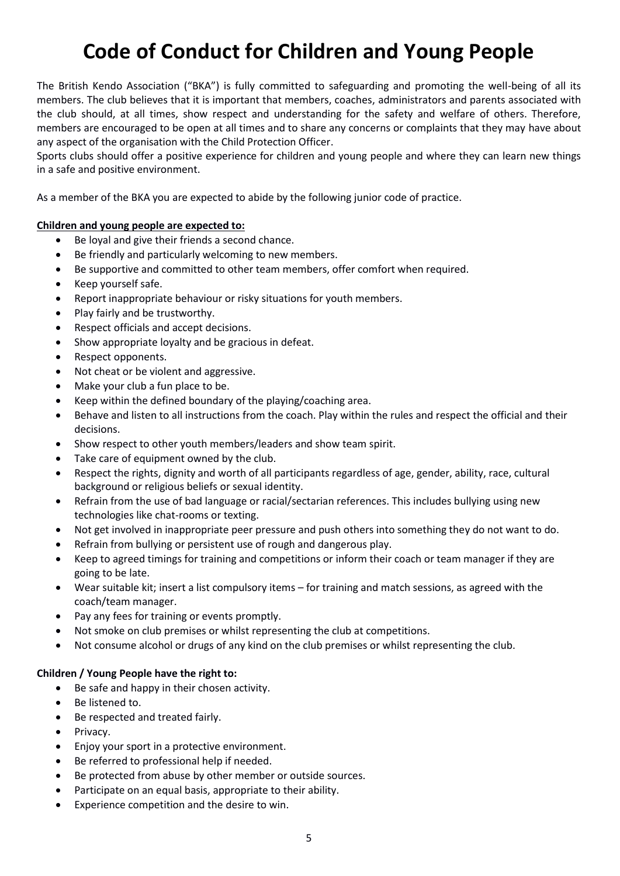# **Code of Conduct for Children and Young People**

The British Kendo Association ("BKA") is fully committed to safeguarding and promoting the well-being of all its members. The club believes that it is important that members, coaches, administrators and parents associated with the club should, at all times, show respect and understanding for the safety and welfare of others. Therefore, members are encouraged to be open at all times and to share any concerns or complaints that they may have about any aspect of the organisation with the Child Protection Officer.

Sports clubs should offer a positive experience for children and young people and where they can learn new things in a safe and positive environment.

As a member of the BKA you are expected to abide by the following junior code of practice.

### **Children and young people are expected to:**

- Be loyal and give their friends a second chance.
- Be friendly and particularly welcoming to new members.
- Be supportive and committed to other team members, offer comfort when required.
- Keep yourself safe.
- Report inappropriate behaviour or risky situations for youth members.
- Play fairly and be trustworthy.
- Respect officials and accept decisions.
- Show appropriate loyalty and be gracious in defeat.
- Respect opponents.
- Not cheat or be violent and aggressive.
- Make your club a fun place to be.
- Keep within the defined boundary of the playing/coaching area.
- Behave and listen to all instructions from the coach. Play within the rules and respect the official and their decisions.
- Show respect to other youth members/leaders and show team spirit.
- Take care of equipment owned by the club.
- Respect the rights, dignity and worth of all participants regardless of age, gender, ability, race, cultural background or religious beliefs or sexual identity.
- Refrain from the use of bad language or racial/sectarian references. This includes bullying using new technologies like chat-rooms or texting.
- Not get involved in inappropriate peer pressure and push others into something they do not want to do.
- Refrain from bullying or persistent use of rough and dangerous play.
- Keep to agreed timings for training and competitions or inform their coach or team manager if they are going to be late.
- Wear suitable kit; insert a list compulsory items for training and match sessions, as agreed with the coach/team manager.
- Pay any fees for training or events promptly.
- Not smoke on club premises or whilst representing the club at competitions.
- Not consume alcohol or drugs of any kind on the club premises or whilst representing the club.

### **Children / Young People have the right to:**

- Be safe and happy in their chosen activity.
- Be listened to.
- Be respected and treated fairly.
- Privacy.
- Enjoy your sport in a protective environment.
- Be referred to professional help if needed.
- Be protected from abuse by other member or outside sources.
- Participate on an equal basis, appropriate to their ability.
- Experience competition and the desire to win.